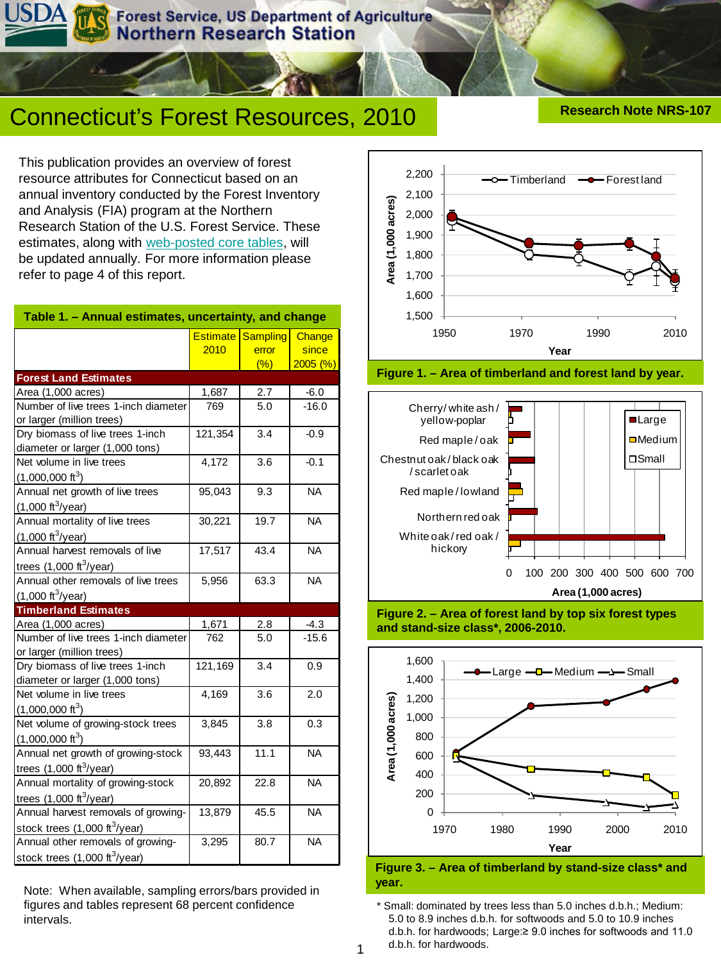**Forest Service, US Department of Agriculture** orthern Research Station

# Connecticut's Forest Resources, 2010 **Research Note NRS-107**

This publication provides an overview of forest resource attributes for Connecticut based on an annual inventory conducted by the Forest Inventory and Analysis (FIA) program at the Northern Research Station of the U.S. Forest Service. These estimates, along with [web-posted core tables](http://nrs.fs.fed.us/fia/data-tools/state-reports/CT/default.asp), will be updated annually. For more information please refer to page 4 of this report.

| Table 1. - Annual estimates, uncertainty, and change                                  |                         |                                 |                            |  |  |  |  |  |  |
|---------------------------------------------------------------------------------------|-------------------------|---------------------------------|----------------------------|--|--|--|--|--|--|
|                                                                                       | <b>Estimate</b><br>2010 | <b>Sampling</b><br>error<br>(%) | Change<br>since<br>2005(%) |  |  |  |  |  |  |
| <b>Forest Land Estimates</b>                                                          |                         |                                 |                            |  |  |  |  |  |  |
| Area (1,000 acres)                                                                    | 1,687                   | 2.7                             | $-6.0$                     |  |  |  |  |  |  |
| Number of live trees 1-inch diameter<br>or larger (million trees)                     | 769                     | $\overline{5.0}$                | $-16.0$                    |  |  |  |  |  |  |
| Dry biomass of live trees 1-inch<br>diameter or larger (1,000 tons)                   | 121,354                 | 3.4                             | $-0.9$                     |  |  |  |  |  |  |
| Net volume in live trees<br>$(1,000,000 \text{ ft}^3)$                                | 4,172                   | 3.6                             | $-0.1$                     |  |  |  |  |  |  |
| Annual net growth of live trees<br>$(1,000 \text{ ft}^3/\text{year})$                 | 95,043                  | 9.3                             | <b>NA</b>                  |  |  |  |  |  |  |
| Annual mortality of live trees<br>$(1,000 \text{ ft}^3/\text{year})$                  | 30,221<br>19.7          |                                 | <b>NA</b>                  |  |  |  |  |  |  |
| Annual harvest removals of live<br>trees $(1,000 \text{ ft}^3/\text{year})$           | 17,517<br>43.4          |                                 | <b>NA</b>                  |  |  |  |  |  |  |
| Annual other removals of live trees<br>$(1,000 \text{ ft}^3/\text{year})$             | 63.3<br>5,956           |                                 | <b>NA</b>                  |  |  |  |  |  |  |
| <b>Timberland Estimates</b>                                                           |                         |                                 |                            |  |  |  |  |  |  |
| Area (1,000 acres)                                                                    | 1,671                   | 2.8                             | $-4.3$                     |  |  |  |  |  |  |
| Number of live trees 1-inch diameter<br>or larger (million trees)                     | 762                     | 5.0                             | $-15.6$                    |  |  |  |  |  |  |
| Dry biomass of live trees 1-inch<br>diameter or larger (1,000 tons)                   | 121,169                 | 3.4                             | 0.9                        |  |  |  |  |  |  |
| Net volume in live trees<br>$(1,000,000 \text{ ft}^3)$                                | 4,169                   | 3.6                             | 2.0                        |  |  |  |  |  |  |
| Net volume of growing-stock trees<br>$(1,000,000 \text{ ft}^3)$                       | 3,845                   | 3.8                             | 0.3                        |  |  |  |  |  |  |
| Annual net growth of growing-stock<br>trees $(1,000 \text{ ft}^3/\text{year})$        | 11.1<br>93,443          |                                 | <b>NA</b>                  |  |  |  |  |  |  |
| Annual mortality of growing-stock<br>trees $(1,000 \text{ ft}^3/\text{year})$         | 20,892                  | 22.8                            | <b>NA</b>                  |  |  |  |  |  |  |
| Annual harvest removals of growing-<br>stock trees $(1,000 \text{ ft}^3\text{/year})$ | 13,879                  | 45.5                            | <b>NA</b>                  |  |  |  |  |  |  |
| Annual other removals of growing-<br>stock trees $(1,000 \text{ ft}^3/\text{year})$   | 3,295                   | 80.7                            | <b>NA</b>                  |  |  |  |  |  |  |

**year.** Note: When available, sampling errors/bars provided in figures and tables represent 68 percent confidence intervals.











**Figure 3. – Area of timberland by stand-size class\* and** 

\* Small: dominated by trees less than 5.0 inches d.b.h.; Medium: 5.0 to 8.9 inches d.b.h. for softwoods and 5.0 to 10.9 inches d.b.h. for hardwoods; Large:≥ 9.0 inches for softwoods and 11.0 d.b.h. for hardwoods.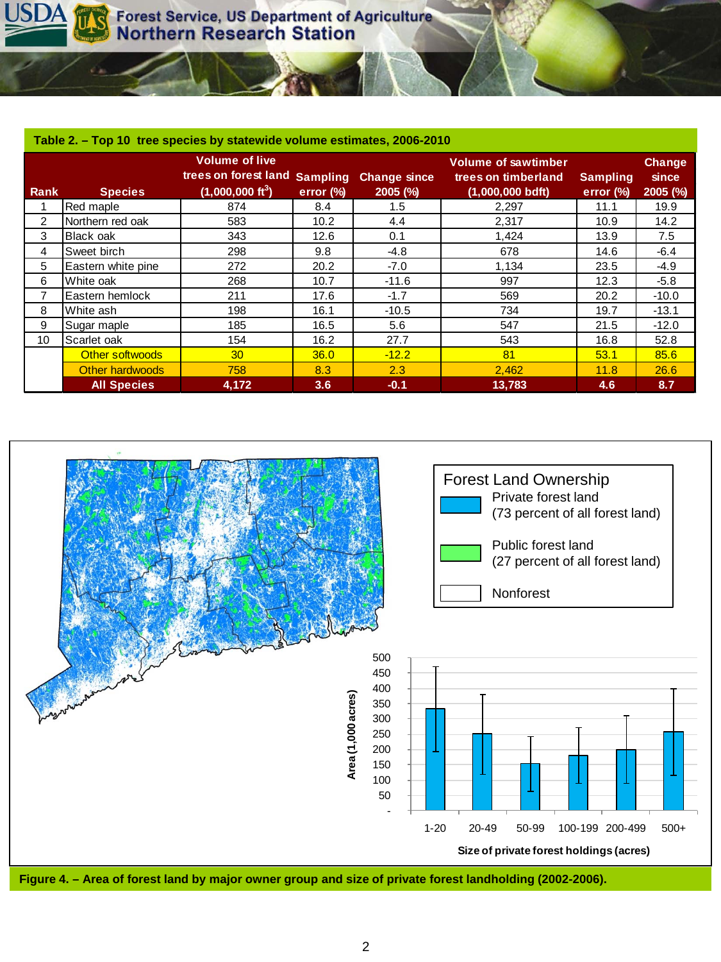| Table 2. - Top 10 tree species by statewide volume estimates, 2006-2010 |                        |                                                                                      |              |                                   |                                                                         |                                 |                                      |  |  |  |
|-------------------------------------------------------------------------|------------------------|--------------------------------------------------------------------------------------|--------------|-----------------------------------|-------------------------------------------------------------------------|---------------------------------|--------------------------------------|--|--|--|
| Rank                                                                    | <b>Species</b>         | <b>Volume of live</b><br>trees on forest land Sampling<br>$(1,000,000 \text{ ft}^3)$ | error $(\%)$ | <b>Change since</b><br>$2005$ (%) | <b>Volume of sawtimber</b><br>trees on timberland<br>$(1,000,000$ bdft) | <b>Sampling</b><br>error $(\%)$ | <b>Change</b><br>since<br>$2005$ (%) |  |  |  |
|                                                                         | Red maple              | 874                                                                                  | 8.4          | 1.5                               | 2,297                                                                   | 11.1                            | 19.9                                 |  |  |  |
| 2                                                                       | Northern red oak       | 583                                                                                  | 10.2         | 4.4                               | 2,317                                                                   | 10.9                            | 14.2                                 |  |  |  |
| 3                                                                       | Black oak              | 343                                                                                  | 12.6         | 0.1                               | 1,424                                                                   | 13.9                            | 7.5                                  |  |  |  |
| 4                                                                       | Sweet birch            | 298                                                                                  | 9.8          | $-4.8$                            | 678                                                                     | 14.6                            | $-6.4$                               |  |  |  |
| 5                                                                       | Eastern white pine     | 272                                                                                  | 20.2         | $-7.0$                            | 1,134                                                                   | 23.5                            | $-4.9$                               |  |  |  |
| 6                                                                       | White oak              | 268                                                                                  | 10.7         | $-11.6$                           | 997                                                                     | 12.3                            | $-5.8$                               |  |  |  |
| 7                                                                       | Eastern hemlock        | 211                                                                                  | 17.6         | $-1.7$                            | 569                                                                     | 20.2                            | $-10.0$                              |  |  |  |
| 8                                                                       | White ash              | 198                                                                                  | 16.1         | $-10.5$                           | 734                                                                     | 19.7                            | $-13.1$                              |  |  |  |
| 9                                                                       | Sugar maple            | 185                                                                                  | 16.5         | 5.6                               | 547                                                                     | 21.5                            | $-12.0$                              |  |  |  |
| 10                                                                      | Scarlet oak            | 154                                                                                  | 16.2         | 27.7                              | 543                                                                     | 16.8                            | 52.8                                 |  |  |  |
|                                                                         | Other softwoods        | 30 <sup>°</sup>                                                                      | 36.0         | $-12.2$                           | 81                                                                      | 53.1                            | 85.6                                 |  |  |  |
|                                                                         | <b>Other hardwoods</b> | 758                                                                                  | 8.3          | 2.3                               | 2,462                                                                   | 11.8                            | 26.6                                 |  |  |  |
|                                                                         | <b>All Species</b>     | 4,172                                                                                | 3.6          | $-0.1$                            | 13,783                                                                  | 4.6                             | 8.7                                  |  |  |  |

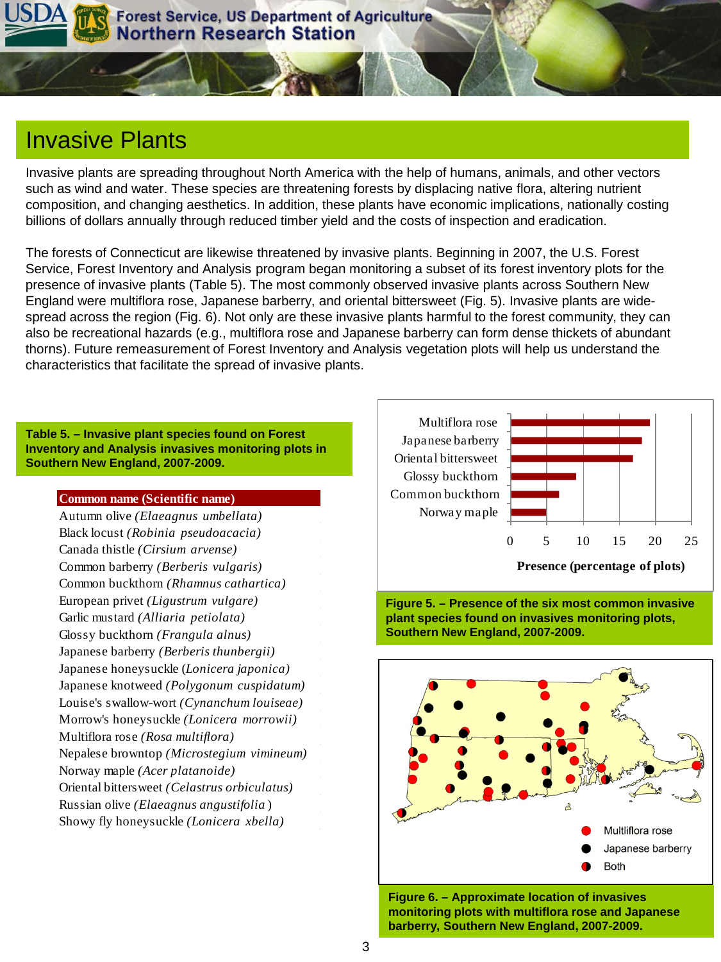

## Invasive Plants

Invasive plants are spreading throughout North America with the help of humans, animals, and other vectors such as wind and water. These species are threatening forests by displacing native flora, altering nutrient composition, and changing aesthetics. In addition, these plants have economic implications, nationally costing billions of dollars annually through reduced timber yield and the costs of inspection and eradication.

The forests of Connecticut are likewise threatened by invasive plants. Beginning in 2007, the U.S. Forest Service, Forest Inventory and Analysis program began monitoring a subset of its forest inventory plots for the presence of invasive plants (Table 5). The most commonly observed invasive plants across Southern New England were multiflora rose, Japanese barberry, and oriental bittersweet (Fig. 5). Invasive plants are widespread across the region (Fig. 6). Not only are these invasive plants harmful to the forest community, they can also be recreational hazards (e.g., multiflora rose and Japanese barberry can form dense thickets of abundant thorns). Future remeasurement of Forest Inventory and Analysis vegetation plots will help us understand the characteristics that facilitate the spread of invasive plants.

#### **Table 5. – Invasive plant species found on Forest Inventory and Analysis invasives monitoring plots in Southern New England, 2007-2009.**

#### **Common name (Scientific name)**

Autumn olive *(Elaeagnus umbellata)* Black locust *(Robinia pseudoacacia)* Canada thistle *(Cirsium arvense)* Common barberry *(Berberis vulgaris)* Common buckthorn *(Rhamnus cathartica)* European privet *(Ligustrum vulgare)* Garlic mustard *(Alliaria petiolata)* Glossy buckthorn *(Frangula alnus)* Japanese barberry *(Berberis thunbergii)* Japanese honeysuckle (*Lonicera japonica)* Japanese knotweed *(Polygonum cuspidatum)* Louise's swallow-wort *(Cynanchum louiseae)* Morrow's honeysuckle *(Lonicera morrowii)* Multiflora rose *(Rosa multiflora)* Nepalese browntop *(Microstegium vimineum)* Norway maple *(Acer platanoide)* Oriental bittersweet *(Celastrus orbiculatus)* Russian olive *(Elaeagnus angustifolia* ) Showy fly honeysuckle *(Lonicera xbella)*







**Figure 6. – Approximate location of invasives monitoring plots with multiflora rose and Japanese barberry, Southern New England, 2007-2009.**